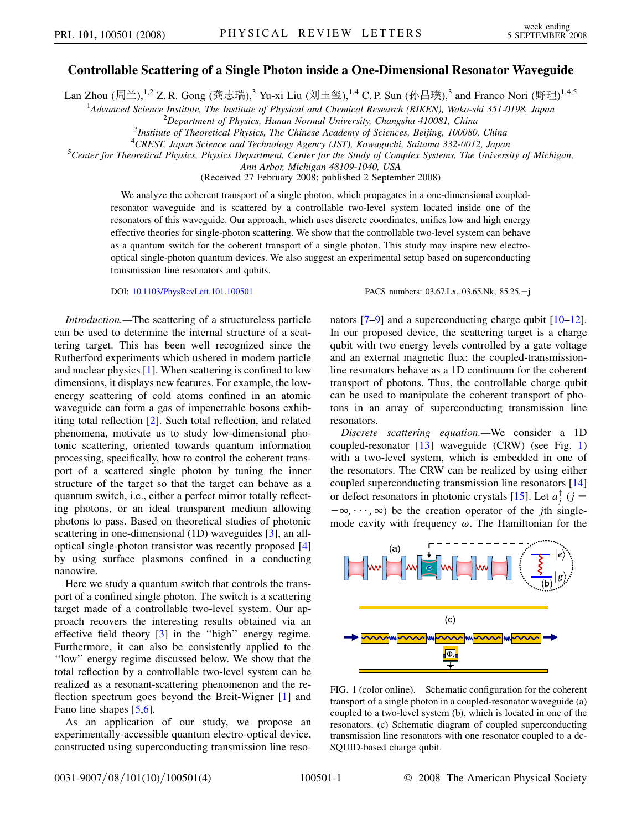## <span id="page-0-0"></span>Controllable Scattering of a Single Photon inside a One-Dimensional Resonator Waveguide

Lan Zhou (周兰), $^{1,2}$  Z. R. Gong (龚志瑞), $^3$  Yu-xi Liu (刘玉玺), $^{1,4}$  C. P. Sun (孙昌璞), $^3$  and Franco Nori (野理) $^{1,4,5}$ 

<sup>1</sup>Advanced Science Institute, The Institute of Physical and Chemical Research (RIKEN), Wako-shi 351-0198, Japan<br><sup>2</sup>Department of Physics, Hungu Normal University Chanasha 410081, China

 $2$ Department of Physics, Hunan Normal University, Changsha 410081, China

 $3$ Institute of Theoretical Physics, The Chinese Academy of Sciences, Beijing, 100080, China

<sup>4</sup> CREST, Japan Science and Technology Agency (JST), Kawaguchi, Saitama 332-0012, Japan <sup>5</sup> Center for Theoretical Physics, Physics Department, Center for the Study of Complex Systems. The University

 ${}^5$ Center for Theoretical Physics, Physics Department, Center for the Study of Complex Systems, The University of Michigan,

Ann Arbor, Michigan 48109-1040, USA

(Received 27 February 2008; published 2 September 2008)

We analyze the coherent transport of a single photon, which propagates in a one-dimensional coupledresonator waveguide and is scattered by a controllable two-level system located inside one of the resonators of this waveguide. Our approach, which uses discrete coordinates, unifies low and high energy effective theories for single-photon scattering. We show that the controllable two-level system can behave as a quantum switch for the coherent transport of a single photon. This study may inspire new electrooptical single-photon quantum devices. We also suggest an experimental setup based on superconducting transmission line resonators and qubits.

DOI: [10.1103/PhysRevLett.101.100501](http://dx.doi.org/10.1103/PhysRevLett.101.100501) PACS numbers: 03.67.Lx, 03.65.Nk, 85.25. - j

Introduction.—The scattering of a structureless particle can be used to determine the internal structure of a scattering target. This has been well recognized since the Rutherford experiments which ushered in modern particle and nuclear physics [1]. When scattering is confined to low dimensions, it displays new features. For example, the lowenergy scattering of cold atoms confined in an atomic waveguide can form a gas of impenetrable bosons exhibiting total reflection [2]. Such total reflection, and related phenomena, motivate us to study low-dimensional photonic scattering, oriented towards quantum information processing, specifically, how to control the coherent transport of a scattered single photon by tuning the inner structure of the target so that the target can behave as a quantum switch, i.e., either a perfect mirror totally reflecting photons, or an ideal transparent medium allowing photons to pass. Based on theoretical studies of photonic scattering in one-dimensional (1D) waveguides [3], an alloptical single-photon transistor was recently proposed [4] by using surface plasmons confined in a conducting nanowire.

Here we study a quantum switch that controls the transport of a confined single photon. The switch is a scattering target made of a controllable two-level system. Our approach recovers the interesting results obtained via an effective field theory [3] in the ''high'' energy regime. Furthermore, it can also be consistently applied to the ''low'' energy regime discussed below. We show that the total reflection by a controllable two-level system can be realized as a resonant-scattering phenomenon and the reflection spectrum goes beyond the Breit-Wigner [1] and Fano line shapes [5,6].

As an application of our study, we propose an experimentally-accessible quantum electro-optical device, constructed using superconducting transmission line resonators [7–9] and a superconducting charge qubit [10–12]. In our proposed device, the scattering target is a charge qubit with two energy levels controlled by a gate voltage and an external magnetic flux; the coupled-transmissionline resonators behave as a 1D continuum for the coherent transport of photons. Thus, the controllable charge qubit can be used to manipulate the coherent transport of photons in an array of superconducting transmission line resonators.

Discrete scattering equation.—We consider a 1D coupled-resonator  $[13]$  waveguide (CRW) (see Fig. 1) with a two-level system, which is embedded in one of the resonators. The CRW can be realized by using either coupled superconducting transmission line resonators [14] or defect resonators in photonic crystals [15]. Let  $a_j^{\dagger}$  ( $j =$  $-\infty, \dots, \infty$ ) be the creation operator of the *j*th singlemode cavity with frequency  $\omega$ . The Hamiltonian for the



FIG. 1 (color online). Schematic configuration for the coherent transport of a single photon in a coupled-resonator waveguide (a) coupled to a two-level system (b), which is located in one of the resonators. (c) Schematic diagram of coupled superconducting transmission line resonators with one resonator coupled to a dc-SQUID-based charge qubit.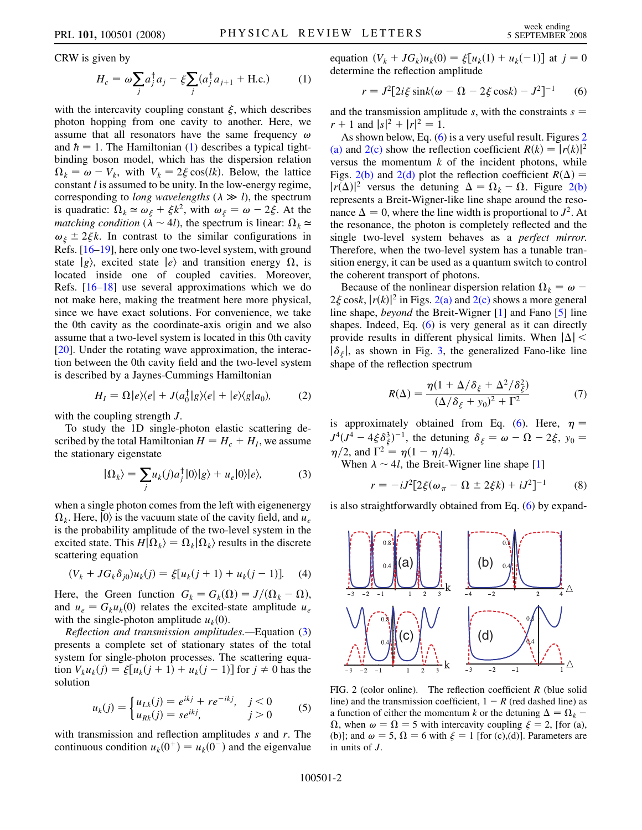<span id="page-1-0"></span>CRW is given by

$$
H_c = \omega \sum_j a_j^{\dagger} a_j - \xi \sum_j (a_j^{\dagger} a_{j+1} + \text{H.c.})
$$
 (1)

with the intercavity coupling constant  $\xi$ , which describes photon hopping from one cavity to another. Here, we assume that all resonators have the same frequency  $\omega$ and  $\hbar = 1$ . The Hamiltonian [\(1](#page-1-0)) describes a typical tightbinding boson model, which has the dispersion relation  $\Omega_k = \omega - V_k$ , with  $V_k = 2\xi \cos(lk)$ . Below, the lattice constant  $l$  is assumed to be unity. In the low-energy regime, corresponding to *long wavelengths* ( $\lambda \gg l$ ), the spectrum is quadratic:  $\Omega_k \simeq \omega_{\xi} + \xi k^2$ , with  $\omega_{\xi} = \omega - 2\xi$ . At the *matching condition* ( $\lambda \sim 4l$ ), the spectrum is linear:  $\Omega_k \approx$  $\omega_{\xi} \pm 2\xi k$ . In contrast to the similar configurations in Refs. [16–19], here only one two-level system, with ground state  $|g\rangle$ , excited state  $|e\rangle$  and transition energy  $\Omega$ , is located inside one of coupled cavities. Moreover, Refs. [16–18] use several approximations which we do not make here, making the treatment here more physical, since we have exact solutions. For convenience, we take the 0th cavity as the coordinate-axis origin and we also assume that a two-level system is located in this 0th cavity [20]. Under the rotating wave approximation, the interaction between the 0th cavity field and the two-level system is described by a Jaynes-Cummings Hamiltonian

$$
H_I = \Omega |e\rangle\langle e| + J(a_0^{\dagger}|g\rangle\langle e| + |e\rangle\langle g|a_0), \tag{2}
$$

with the coupling strength  $J$ .

<span id="page-1-1"></span>To study the 1D single-photon elastic scattering described by the total Hamiltonian  $H = H_c + H_l$ , we assume the stationary eigenstate

$$
|\Omega_k\rangle = \sum_j u_k(j) a_j^{\dagger} |0\rangle |g\rangle + u_e |0\rangle |e\rangle, \tag{3}
$$

when a single photon comes from the left with eigenenergy  $\Omega_k$ . Here,  $|0\rangle$  is the vacuum state of the cavity field, and  $u_e$ is the probability amplitude of the two-level system in the excited state. This  $H|\Omega_k\rangle = \Omega_k|\Omega_k\rangle$  results in the discrete scattering equation

$$
(V_k + JG_k \delta_{j0})u_k(j) = \xi[u_k(j+1) + u_k(j-1)].
$$
 (4)

Here, the Green function  $G_k = G_k(\Omega) = J/(\Omega_k - \Omega)$ , and  $u_e = G_k u_k(0)$  relates the excited-state amplitude  $u_e$ with the single-photon amplitude  $u_k(0)$ .

Reflection and transmission amplitudes.—Equation [\(3\)](#page-1-1) presents a complete set of stationary states of the total system for single-photon processes. The scattering equation  $V_k u_k(j) = \xi[u_k(j + 1) + u_k(j - 1)]$  for  $j \neq 0$  has the solution

$$
u_k(j) = \begin{cases} u_{Lk}(j) = e^{ikj} + re^{-ikj}, & j < 0\\ u_{Rk}(j) = se^{ikj}, & j > 0 \end{cases}
$$
 (5)

with transmission and reflection amplitudes  $s$  and  $r$ . The continuous condition  $u_k(0^+) = u_k(0^-)$  and the eigenvalue <span id="page-1-2"></span>equation  $(V_k + JG_k)u_k(0) = \xi[u_k(1) + u_k(-1)]$  at  $j = 0$ determine the reflection amplitude

$$
r = J^{2}[2i\xi \sin k(\omega - \Omega - 2\xi \cos k) - J^{2}]^{-1}
$$
 (6)

and the transmission amplitude s, with the constraints  $s =$  $r + 1$  and  $|s|^2 + |r|^2 = 1$ .

As shown below, Eq. ([6](#page-1-2)) is a very useful result. Figures 2 (a) and  $2(c)$  show the reflection coefficient  $R(k) = |r(k)|^2$ versus the momentum  $k$  of the incident photons, while Figs. 2(b) and 2(d) plot the reflection coefficient  $R(\Delta) =$  $|r(\Delta)|^2$  versus the detuning  $\Delta = \Omega_k - \Omega$ . Figure 2(b) represents a Breit-Wigner-like line shape around the resonance  $\Delta = 0$ , where the line width is proportional to  $J^2$ . At the resonance, the photon is completely reflected and the single two-level system behaves as a perfect mirror. Therefore, when the two-level system has a tunable transition energy, it can be used as a quantum switch to control the coherent transport of photons.

Because of the nonlinear dispersion relation  $\Omega_k = \omega$  –  $2\xi \cosh |r(k)|^2$  in Figs. 2(a) and 2(c) shows a more general line shape, beyond the Breit-Wigner [1] and Fano [5] line shapes. Indeed, Eq. [\(6](#page-1-2)) is very general as it can directly provide results in different physical limits. When  $|\Delta|$  <  $|\delta_{\xi}|$ , as shown in Fig. [3,](#page-2-0) the generalized Fano-like line shape of the reflection spectrum

$$
R(\Delta) = \frac{\eta(1 + \Delta/\delta_{\xi} + \Delta^2/\delta_{\xi}^2)}{(\Delta/\delta_{\xi} + y_0)^2 + \Gamma^2}
$$
(7)

<span id="page-1-4"></span>is approximately obtained from Eq. ([6\)](#page-1-2). Here,  $\eta$  =  $J^4(J^4 - 4\xi \delta_{\xi}^3)^{-1}$ , the detuning  $\delta_{\xi} = \omega - \Omega - 2\xi$ ,  $y_0 =$  $\eta/2$ , and  $\Gamma^2 = \eta(1 - \eta/4)$ .

<span id="page-1-3"></span>When  $\lambda \sim 4l$ , the Breit-Wigner line shape [1]

$$
r = -iJ^{2}[2\xi(\omega_{\pi} - \Omega \pm 2\xi k) + iJ^{2}]^{-1}
$$
 (8)

is also straightforwardly obtained from Eq. ([6](#page-1-2)) by expand-



FIG. 2 (color online). The reflection coefficient  $R$  (blue solid line) and the transmission coefficient,  $1 - R$  (red dashed line) as a function of either the momentum k or the detuning  $\Delta = \Omega_k$  –  $\Omega$ , when  $\omega = \Omega = 5$  with intercavity coupling  $\xi = 2$ , [for (a), (b)]; and  $\omega = 5$ ,  $\Omega = 6$  with  $\xi = 1$  [for (c),(d)]. Parameters are in units of J.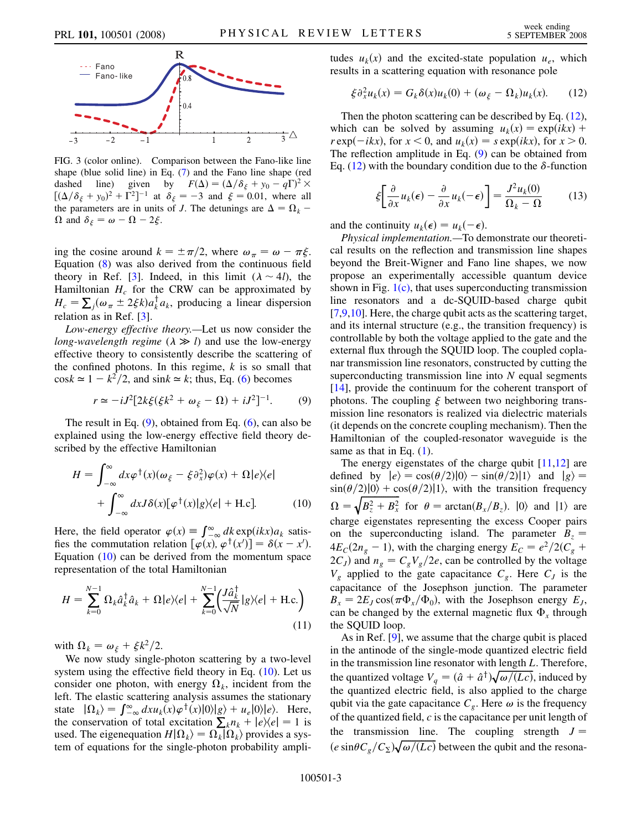<span id="page-2-0"></span>

FIG. 3 (color online). Comparison between the Fano-like line shape (blue solid line) in Eq. [\(7\)](#page-1-4) and the Fano line shape (red dashed line) given by  $F(\Delta) = (\Delta/\delta_{\xi} + y_0 - q\Gamma)^2 \times$  $[(\Delta/\delta_{\xi} + y_0)^2 + \Gamma^2]^{-1}$  at  $\delta_{\xi} = -3$  and  $\xi = 0.01$ , where all the parameters are in units of J. The detunings are  $\Delta = \Omega_k$  –  $\Omega$  and  $\delta_{\xi} = \omega - \Omega - 2\xi$ .

ing the cosine around  $k = \pm \pi/2$ , where  $\omega_{\pi} = \omega - \pi \xi$ . Equation [\(8\)](#page-1-3) was also derived from the continuous field theory in Ref. [3]. Indeed, in this limit  $(\lambda \sim 4l)$ , the Hamiltonian  $H_c$  for the CRW can be approximated by  $H_c = \sum_j (\omega_\pi \pm 2\xi k) a_k^\dagger a_k$ , producing a linear dispersion relation as in Ref. [3].

Low-energy effective theory.—Let us now consider the long-wavelength regime  $(\lambda \gg l)$  and use the low-energy effective theory to consistently describe the scattering of the confined photons. In this regime,  $k$  is so small that  $\cos k \approx 1 - k^2/2$ , and  $\sin k \approx k$ ; thus, Eq. [\(6\)](#page-1-2) becomes

$$
r \simeq -iJ^{2}[2k\xi(\xi k^{2} + \omega_{\xi} - \Omega) + iJ^{2}]^{-1}.
$$
 (9)

<span id="page-2-1"></span>The result in Eq.  $(9)$  $(9)$ , obtained from Eq.  $(6)$  $(6)$  $(6)$ , can also be explained using the low-energy effective field theory described by the effective Hamiltonian

<span id="page-2-2"></span>
$$
H = \int_{-\infty}^{\infty} dx \varphi^{\dagger}(x) (\omega_{\xi} - \xi \partial_x^2) \varphi(x) + \Omega |e\rangle\langle e|
$$
  
+ 
$$
\int_{-\infty}^{\infty} dx J \delta(x) [\varphi^{\dagger}(x)] g \rangle\langle e| + \text{H.c.}].
$$
 (10)

Here, the field operator  $\varphi(x) = \int_{-\infty}^{\infty} dk \exp(ikx) a_k$  satisfies the commutation relation  $[\varphi(x), \varphi^{\dagger}(x')] = \delta(x - x')$ . Equation [\(10](#page-2-2)) can be derived from the momentum space representation of the total Hamiltonian

$$
H = \sum_{k=0}^{N-1} \Omega_k \hat{a}_k^\dagger \hat{a}_k + \Omega |e\rangle\langle e| + \sum_{k=0}^{N-1} \left(\frac{J \hat{a}_k^\dagger}{\sqrt{N}} |g\rangle\langle e| + \text{H.c.}\right) \tag{11}
$$

with  $\Omega_k = \omega_{\xi} + \xi k^2/2$ .

We now study single-photon scattering by a two-level system using the effective field theory in Eq.  $(10)$  $(10)$  $(10)$ . Let us consider one photon, with energy  $\Omega_k$ , incident from the left. The elastic scattering analysis assumes the stationary state  $|\Omega_k\rangle = \int_{-\infty}^{\infty} dx u_k(x) \varphi^{\dagger}(x) |0\rangle |g\rangle + u_e |0\rangle |e\rangle$ . Here, the conservation of total excitation  $\sum_{k} n_k + |e\rangle\langle e| = 1$  is used. The eigenequation  $H|\Omega_k\rangle = \Omega_k|\Omega_k\rangle$  provides a system of equations for the single-photon probability ampli<span id="page-2-3"></span>tudes  $u_k(x)$  and the excited-state population  $u_e$ , which results in a scattering equation with resonance pole

$$
\xi \partial_x^2 u_k(x) = G_k \delta(x) u_k(0) + (\omega_{\xi} - \Omega_k) u_k(x).
$$
 (12)

Then the photon scattering can be described by Eq.  $(12)$  $(12)$ , which can be solved by assuming  $u_k(x) = \exp(ikx) +$  $r \exp(-ikx)$ , for  $x < 0$ , and  $u_k(x) = s \exp(ikx)$ , for  $x > 0$ . The reflection amplitude in Eq. [\(9\)](#page-2-1) can be obtained from Eq. [\(12\)](#page-2-3) with the boundary condition due to the  $\delta$ -function

$$
\xi \left[ \frac{\partial}{\partial x} u_k(\epsilon) - \frac{\partial}{\partial x} u_k(-\epsilon) \right] = \frac{J^2 u_k(0)}{\Omega_k - \Omega} \tag{13}
$$

and the continuity  $u_k(\epsilon) = u_k(-\epsilon)$ .

Physical implementation.—To demonstrate our theoretical results on the reflection and transmission line shapes beyond the Breit-Wigner and Fano line shapes, we now propose an experimentally accessible quantum device shown in Fig.  $1(c)$ , that uses superconducting transmission line resonators and a dc-SQUID-based charge qubit [7,9,10]. Here, the charge qubit acts as the scattering target, and its internal structure (e.g., the transition frequency) is controllable by both the voltage applied to the gate and the external flux through the SQUID loop. The coupled coplanar transmission line resonators, constructed by cutting the superconducting transmission line into  $N$  equal segments [14], provide the continuum for the coherent transport of photons. The coupling  $\zeta$  between two neighboring transmission line resonators is realized via dielectric materials (it depends on the concrete coupling mechanism). Then the Hamiltonian of the coupled-resonator waveguide is the same as that in Eq.  $(1)$  $(1)$ .

The energy eigenstates of the charge qubit [11,12] are defined by  $|e\rangle = \cos(\theta/2)|0\rangle - \sin(\theta/2)|1\rangle$  and  $|g\rangle =$  $\sin(\theta/2)|0\rangle + \cos(\theta/2)|1\rangle$ , with the transition frequency  $\Omega = \sqrt{B_z^2 + B_x^2}$  for  $\theta = \arctan(B_x/B_z)$ .  $|0\rangle$  and  $|1\rangle$  are charge eigenstates representing the excess Cooper pairs on the superconducting island. The parameter  $B_z =$  $4E_C(2n_g - 1)$ , with the charging energy  $E_C = e^2/2(C_g +$  $2C_J$ ) and  $n_g = C_gV_g/2e$ , can be controlled by the voltage  $V_g$  applied to the gate capacitance  $C_g$ . Here  $C_J$  is the capacitance of the Josephson junction. The parameter  $B_x = 2E_J \cos(\pi \Phi_x/\Phi_0)$ , with the Josephson energy  $E_J$ , can be changed by the external magnetic flux  $\Phi_x$  through the SQUID loop.

As in Ref. [9], we assume that the charge qubit is placed in the antinode of the single-mode quantized electric field in the transmission line resonator with length L. Therefore, the quantized voltage  $V_q = (\hat{a} + \hat{a}^\dagger)\sqrt{\omega/(Lc)}$ , induced by the quantized electric field, is also applied to the charge qubit via the gate capacitance  $C_g$ . Here  $\omega$  is the frequency of the quantized field,  $c$  is the capacitance per unit length of the transmission line. The coupling strength  $J =$  $(e \sin\theta C_g/C_\Sigma) \sqrt{\omega/(Lc)}$  between the qubit and the resona-